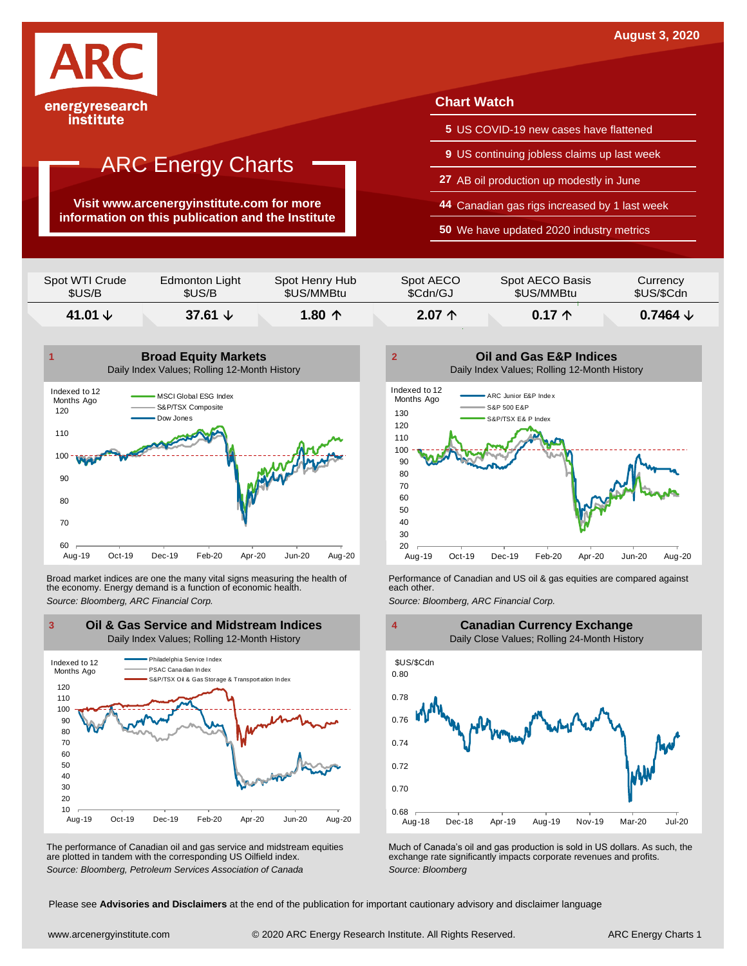

**Visit www.arcenergyinstitute.com for more information on this publication and the Institute**

#### **Chart Watch**

- **5** US COVID-19 new cases have flattened
- **9** US continuing jobless claims up last week
- **27** AB oil production up modestly in June
- **44** Canadian gas rigs increased by 1 last week
- **50** We have updated 2020 industry metrics

| Spot WTI Crude | Edmonton Light   | Spot Henry Hub  | Spot AECO       | Spot AECO Basis | Currency            |
|----------------|------------------|-----------------|-----------------|-----------------|---------------------|
| \$US/B         | \$US/B           | \$US/MMBtu      | \$Cdn/GJ        | \$US/MMBtu      | \$US/\$Cdn          |
| 41.01 $\vee$   | 37.61 $\sqrt{ }$ | 1.80 $\uparrow$ | $2.07 \uparrow$ | $0.17 \uparrow$ | 0.7464 $\downarrow$ |



Broad market indices are one the many vital signs measuring the health of **Performance of Canadian and US oil &** gas equities are compared against the economy. Energy demand is a function of economic health. **The exact oth** the economy. Energy demand is a function of economic health.



The performance of Canadian oil and gas service and midstream equities are plotted in tandem with the corresponding US Oilfield index.





The performance of Canadian oil and gas service and midstream equities Much of Canada's oil and gas production is sold in US dollars. As such, the are plotted in tandem with the corresponding US Oilfield index. <br>The exchan

Please see **Advisories and Disclaimers** at the end of the publication for important cautionary advisory and disclaimer language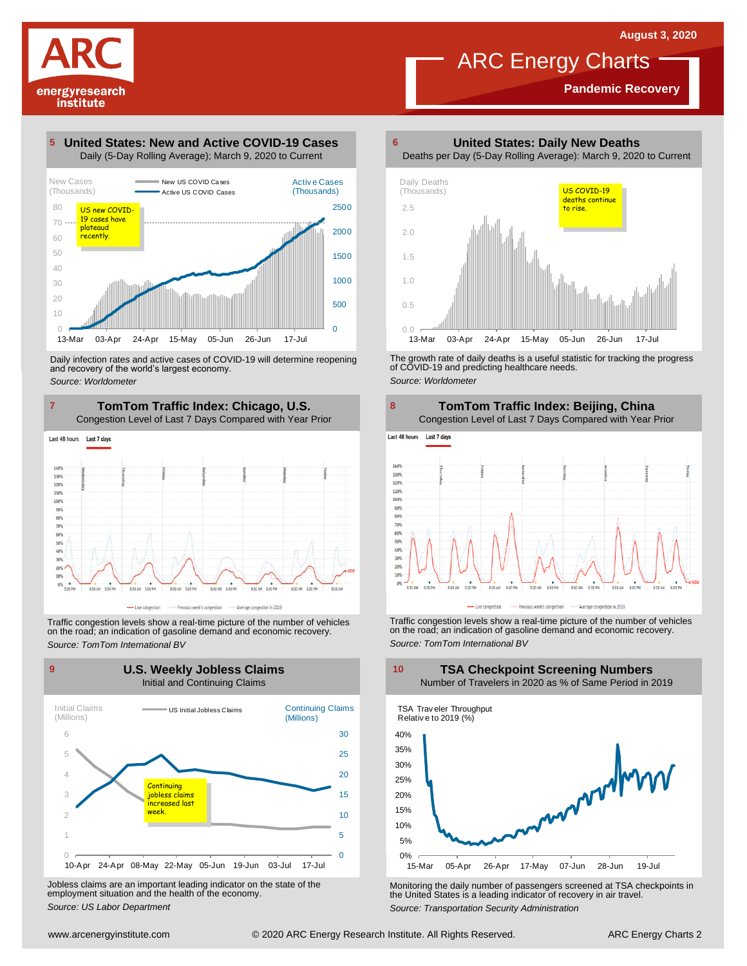**Pandemic Recovery**



#### **United States: New and Active COVID-19 Cases 5**



Daily infection rates and active cases of COVID-19 will determine reopening and recovery of the world's largest economy. *Source: Worldometer*

**TomTom Traffic Index: Chicago, U.S. 7 8** Congestion Level of Last 7 Days Compared with Year Prior



Traffic congestion levels show <sup>a</sup> real-time picture of the number of vehicles on the road; an indication of gasoline demand and economic recovery. *Source: TomTom International BV*



Jobless claims are an important leading indicator on the state of the employment situation and the health of the economy. *Source: US Labor Department*

**United States: Daily New Deaths 6**



The growth rate of daily deaths is <sup>a</sup> useful statistic for tracking the progress of COVID-19 and predicting healthcare needs. *Source: Worldometer*



Traffic congestion levels show <sup>a</sup> real-time picture of the number of vehicles on the road; an indication of gasoline demand and economic recovery. *Source: TomTom International BV*



Monitoring the daily number of passengers screened at TSA checkpoints in the United States is <sup>a</sup> leading indicator of recovery in air travel. *Source: Transportation Security Administration*

#### **TSA Checkpoint Screening Numbers** Number of Travelers in 2020 as % of Same Period in 2019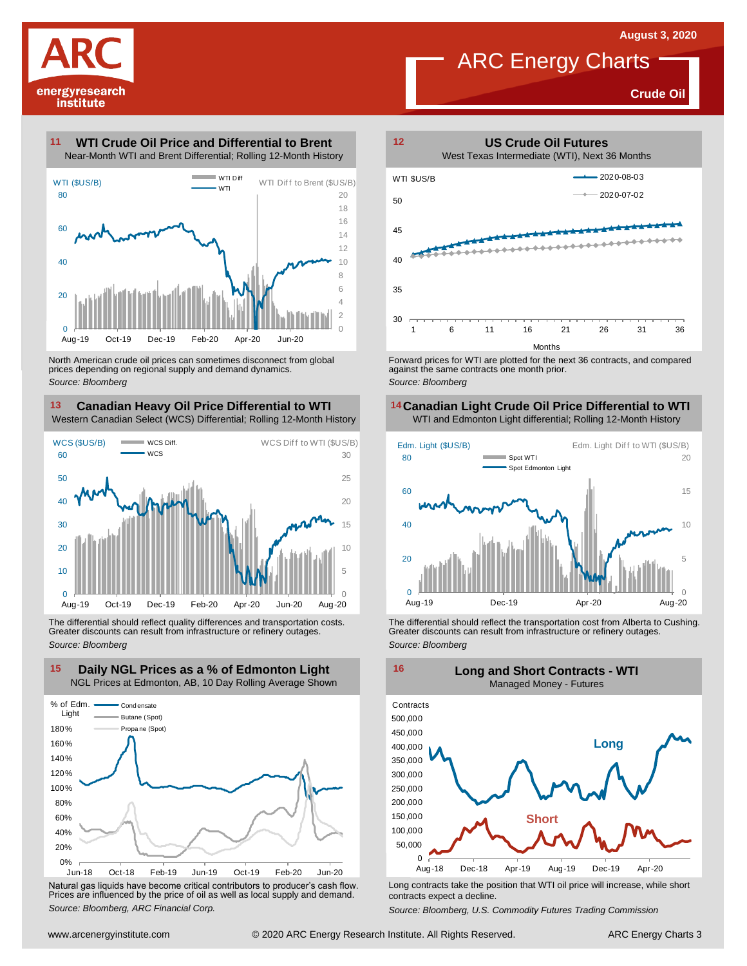**Crude Oil**

# energyresearch institute

#### **WTI Crude Oil Price and Differential to Brent 11**



North American crude oil prices can sometimes disconnect from global prices depending on regional supply and demand dynamics. *Source: Bloomberg*

#### **Canadian Heavy Oil Price Differential to WTI 13 14** Western Canadian Select (WCS) Differential; Rolling 12-Month History



The differential should reflect quality differences and transportation costs. Greater discounts can result from infrastructure or refinery outages. *Source: Bloomberg*



Natural gas liquids have become critical contributors to producer's cash flow. Long contracts take the position that WTI oil price will increase, while short<br>Prices are influenced by the price of oil as well as local suppl



ARC Energy Charts

against the same contracts one month prior. *Source: Bloomberg*

### **Canadian Light Crude Oil Price Differential to WTI**



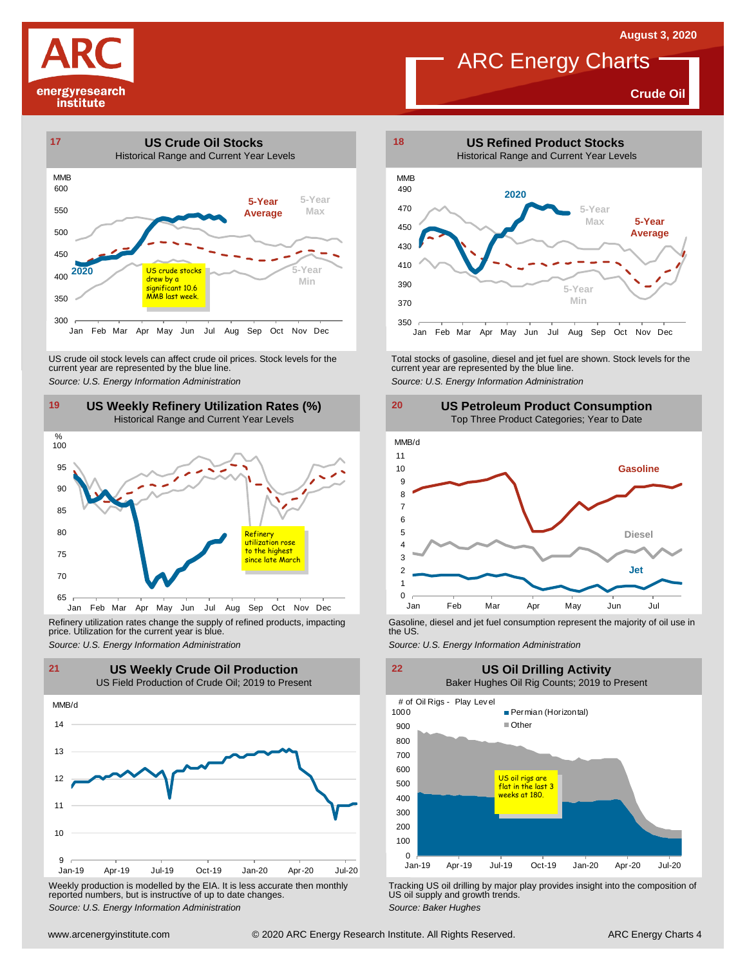**Crude Oil**







Refinery utilization rates change the supply of refined products, impacting price. Utilization for the current year is blue. Refinery utilization rates change the supply of refined products, impacting<br>
price. Utilization for the current year is blue.<br>
Source: U.S. Energy Information Administration<br>
Source: U.S. Energy Information Administration<br>



Weekly production is modelled by the EIA. It is less accurate then monthly reported numbers, but is instructive of up to date changes. *Source: Weekly production* is modelled by the EIA. It is less accurate then monthly **Tracking US oil drilling by major play provides insight into the composition of reported numbers, but is instructive of up to date cha** 



US crude oil stock levels can affect crude oil prices. Stock levels for the<br>
current year are represented by the blue line.<br>
Source: U.S. Energy Information Administration<br>
19 US Weekly Refinery Utilization Rates (%)<br>
Hist





**US Oil Drilling Activity**

Baker Hughes Oil Rig Counts; 2019 to Present



US oil supply and growth trends. *Source: Baker Hughes*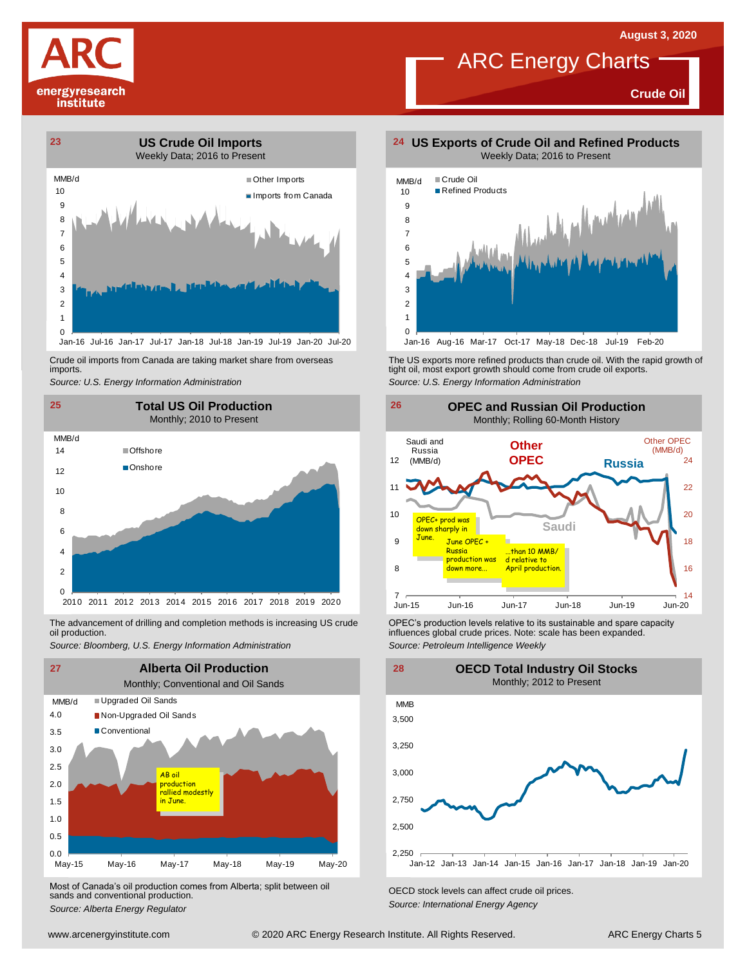

**Crude Oil**



Crude oil imports from Canada are taking market share from overseas imports.



The advancement of drilling and completion methods is increasing US crude oil production.



Most of Canada's oil production comes from Alberta; split between oil sands and conventional production. *Source: Alberta Energy Regulator Comes Irom Alberta*; *Split between on CECD stock levels can affect crude oil prices. Source: Alberta Energy Agency*<br>*Source: Alberta Energy Regulator Capacitor Energy Ag* 





Jan-16 Aug-16 Mar-17 Oct-17 May-18 Dec-18 Jul-19 Feb-20

Crude oil imports from Canada are taking market share from overseas The US exports more refined products than crude oil. With the rapid growth of tight oil, most exports more refined products than crude oil exports.<br>import *Source: U.S. Energy Information Administration*



The advancement of drilling and completion methods is increasing US crude CPEC's production levels relative to its sustainable and spare capacity<br>oil production. influences global crude prices. Note: scale has been expande *Source: Petroleum Intelligence Weekly*

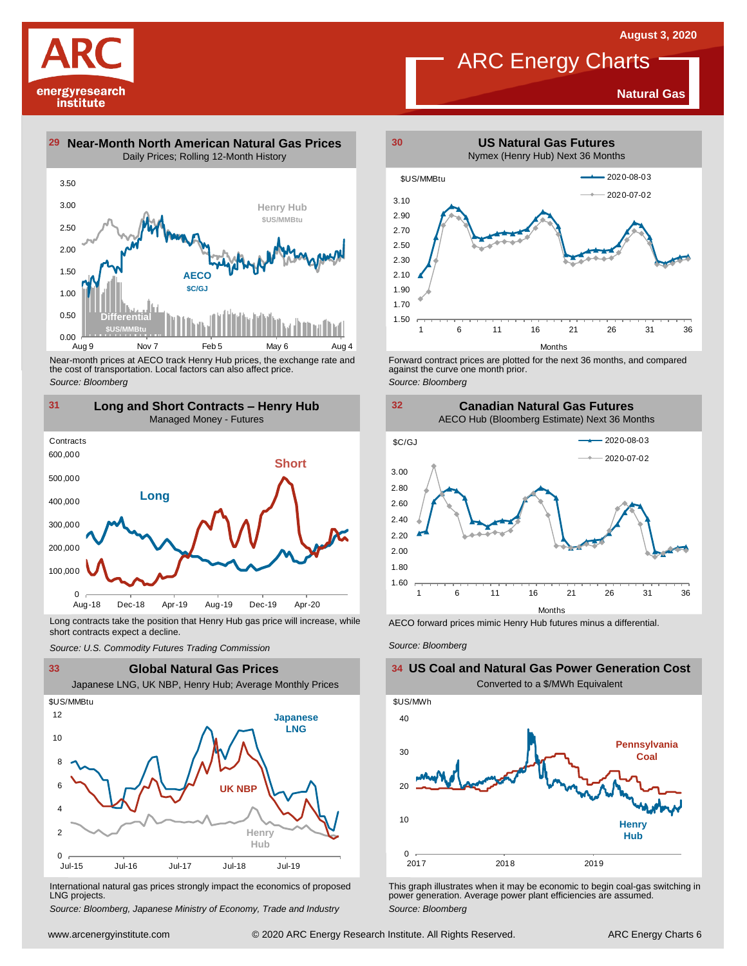**Natural Gas**





Near-month prices at AECO track Henry Hub prices, the exchange rate and<br>the cost of transportation. Local factors can also affect price.<br>Source: Bloomberg<br>**131 Long and Short Contracts – Henry Hub**<br>Managed Money - Futures *Source: Bloomberg*



Long contracts take the position that Henry Hub gas price will increase, while short contracts expect a decline. *Source: U.S. Commodity Futures Trading Commission* AECO forward prices mimic Henry Hub futures minus <sup>a</sup> differential. *Source: Bloomberg*



International natural gas prices strongly impact the economics of proposed LNG projects.

*Source: Bloomberg, Japanese Ministry of Economy, Trade and Industry*



Forward contract prices are plotted for the next <sup>36</sup> months, and compared against the curve one month prior. *Source: Bloomberg*





**US Coal and Natural Gas Power Generation Cost**



This graph illustrates when it may be economic to begin coal-gas switching in power generation. Average power plant efficiencies are assumed. *Source: Bloomberg*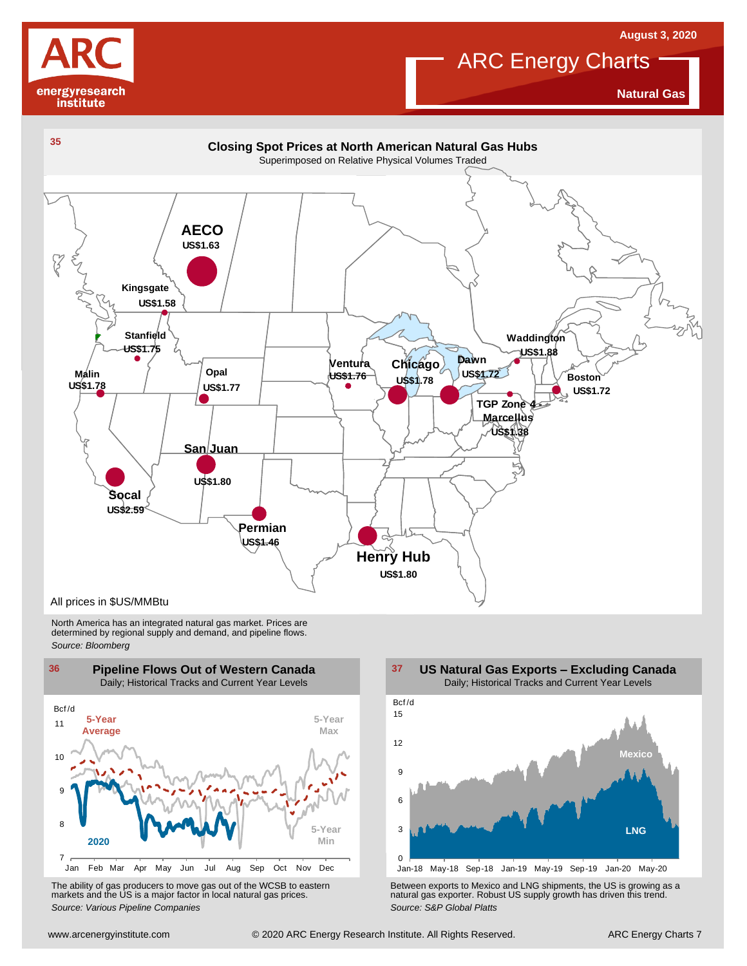



**Natural Gas**



North America has an integrated natural gas market. Prices are determined by regional supply and demand, and pipeline flows. *Source: Bloomberg*





Using the Markets and the US is a major factor in local natural gas prices.<br>
Source: Various Pipeline Companies<br>
With a street are the WCSB to eastern markets and the US is a major factor in local natural gas prices.<br>
Sour The ability of gas producers to move gas out of the WCSB to eastern<br>The Between exports to Mexico and LNG shipments, the US is growing as a<br>Source: Various Pipeline Companies and actual gas prices.<br>Source: S&P Global Platt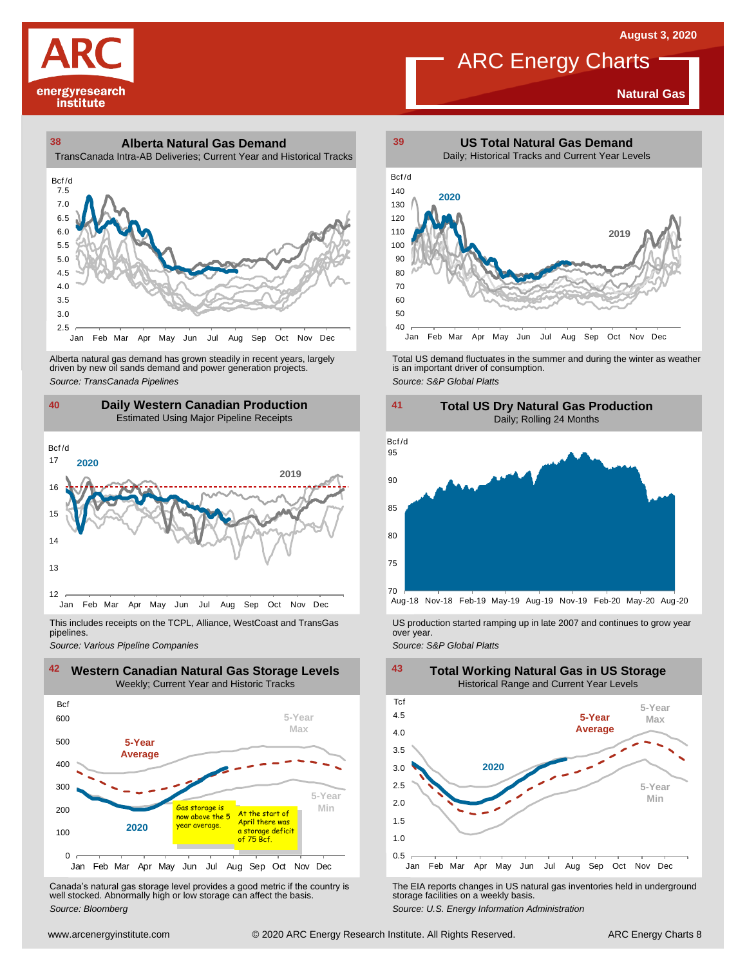

**Natural Gas**

**38 39 Alberta Natural Gas Demand** TransCanada Intra-AB Deliveries; Current Year and Historical Tracks



Alberta natural gas demand has grown steadily in recent years, largely<br>
driven by new oil sands demand and power generation projects.<br>
Source: TransCanada Pipelines<br>
Source: S&P Global Platts<br>
Daily Western Canadian Produc Alberta natural gas demand has grown steadily in recent years, largely **Total US** demand fluctuates in the summer and during the winter as weather driven by new oil sands demand and power generation projects.<br>And is an imp



This includes receipts on the TCPL, Alliance, WestCoast and TransGas pipelines. *Source: Pipelines Pipelines Pipelines Pipelines DSproduction started ramping up in late 2007 and continues to grow year pipelines. Source: Various Pipeline Companies Source: Various Pipeline Companies SA* 



Canada's natural gas storage level provides <sup>a</sup> good metric if the country is well stocked. Abnormally high or low storage can affect the basis. *Source: Bloomberg*





Aug-18 Nov-18 Feb-19 May-19 Aug-19 Nov-19 Feb-20 May-20 Aug-20



The EIA reports changes in US natural gas inventories held in underground storage facilities on <sup>a</sup> weekly basis.

*Source: U.S. Energy Information Administration*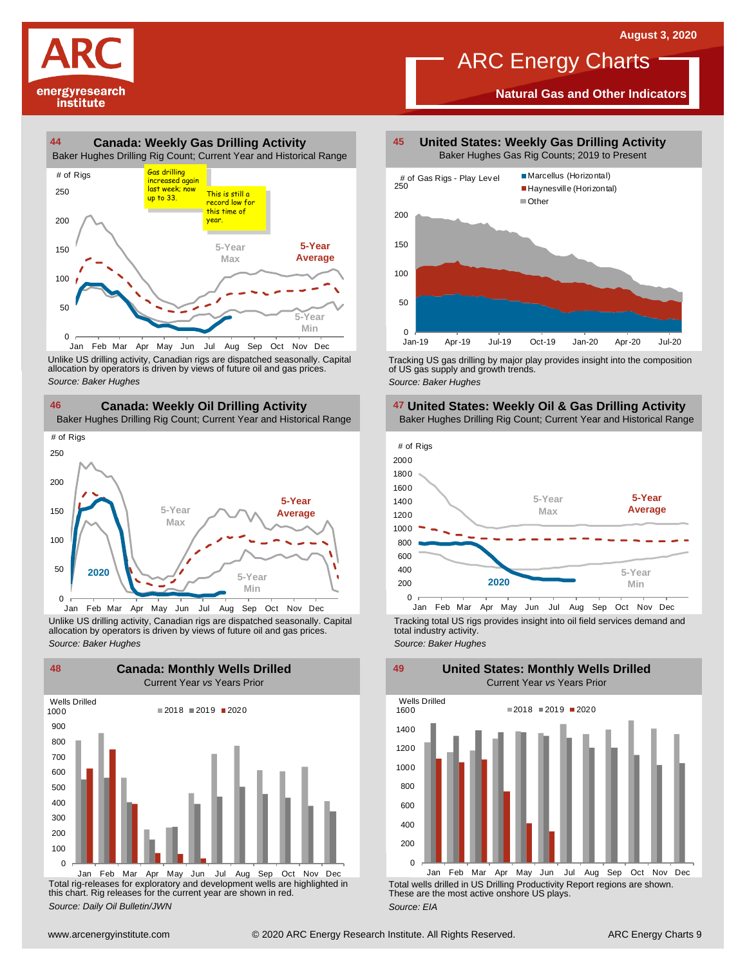# energyresearch institute

#### **44 45 Canada: Weekly Gas Drilling Activity** Baker Hughes Drilling Rig Count; Current Year and Historical Range 4<br>Baker Hu<br># of Rigs Gas drilling



Unlike US drilling activity, Canadian rigs are dispatched seasonally. Capital allocation by operators is driven by views of future oil and gas prices. 0<br>
Jan Feb Mar Apr May Jun<br>
Unlike US drilling activity, Canadian allocation by operators is driven by v<br>
Source: Baker Hughes



Unlike US drilling activity, Canadian rigs are dispatched seasonally. Capital Tracking total US rigs provides insight into oil field services demand and<br>allocation by operators is driven by views of future oil and gas pric



Total rig-releases for exploratory and development wells are highlighted in this chart. Rig releases for the current year are shown in red. *Source: Daily Oil Bulletin/JWN*

**United States: Weekly Gas Drilling Activity** Baker Hughes Gas Rig Counts; 2019 to Present

ARC Energy Charts

**Natural Gas and Other Indicators**



Tracking US gas drilling by major play provides insight into the composition of US gas supply and growth trends. *Source: Baker Hughes*







Tracking total US rigs provides insight into oil field services demand and total industry activity.

**United States: Monthly Wells Drilled**

*Source: Baker Hughes*

0 200 400 600 800 1000 1200 1400 1600 Jan Feb Mar Apr May Jun Jul Aug Sep Oct Nov Dec Wells Drilled  $2018 = 2019 = 2020$ 

Total wells drilled in US Drilling Productivity Report regions are shown. These are the most active onshore US plays. *Source: EIA*